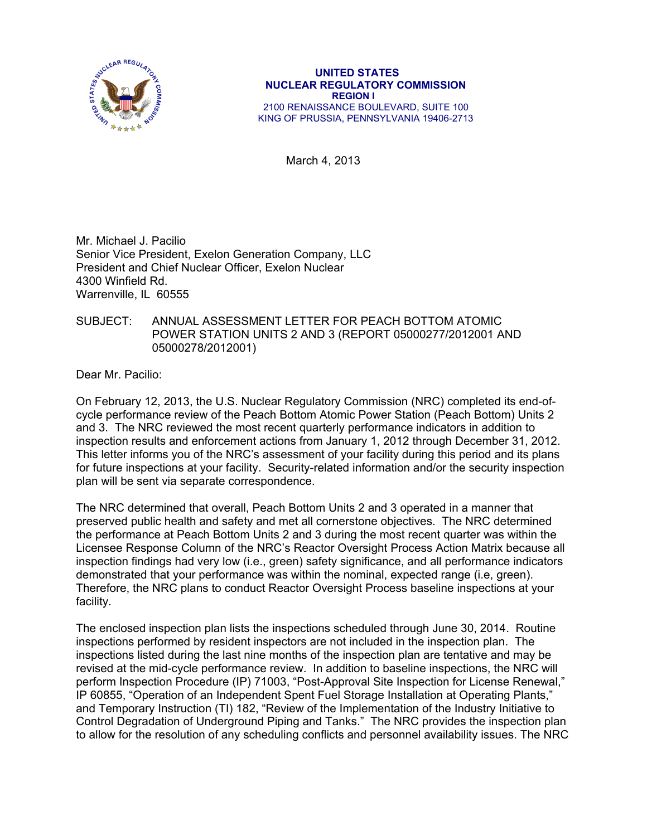

March 4, 2013

Mr. Michael J. Pacilio Senior Vice President, Exelon Generation Company, LLC President and Chief Nuclear Officer, Exelon Nuclear 4300 Winfield Rd. Warrenville, IL 60555

### SUBJECT: ANNUAL ASSESSMENT LETTER FOR PEACH BOTTOM ATOMIC POWER STATION UNITS 2 AND 3 (REPORT 05000277/2012001 AND 05000278/2012001)

Dear Mr. Pacilio:

On February 12, 2013, the U.S. Nuclear Regulatory Commission (NRC) completed its end-ofcycle performance review of the Peach Bottom Atomic Power Station (Peach Bottom) Units 2 and 3. The NRC reviewed the most recent quarterly performance indicators in addition to inspection results and enforcement actions from January 1, 2012 through December 31, 2012. This letter informs you of the NRC's assessment of your facility during this period and its plans for future inspections at your facility. Security-related information and/or the security inspection plan will be sent via separate correspondence.

The NRC determined that overall, Peach Bottom Units 2 and 3 operated in a manner that preserved public health and safety and met all cornerstone objectives. The NRC determined the performance at Peach Bottom Units 2 and 3 during the most recent quarter was within the Licensee Response Column of the NRC's Reactor Oversight Process Action Matrix because all inspection findings had very low (i.e., green) safety significance, and all performance indicators demonstrated that your performance was within the nominal, expected range (i.e, green). Therefore, the NRC plans to conduct Reactor Oversight Process baseline inspections at your facility.

The enclosed inspection plan lists the inspections scheduled through June 30, 2014. Routine inspections performed by resident inspectors are not included in the inspection plan. The inspections listed during the last nine months of the inspection plan are tentative and may be revised at the mid-cycle performance review. In addition to baseline inspections, the NRC will perform Inspection Procedure (IP) 71003, "Post-Approval Site Inspection for License Renewal," IP 60855, "Operation of an Independent Spent Fuel Storage Installation at Operating Plants," and Temporary Instruction (TI) 182, "Review of the Implementation of the Industry Initiative to Control Degradation of Underground Piping and Tanks." The NRC provides the inspection plan to allow for the resolution of any scheduling conflicts and personnel availability issues. The NRC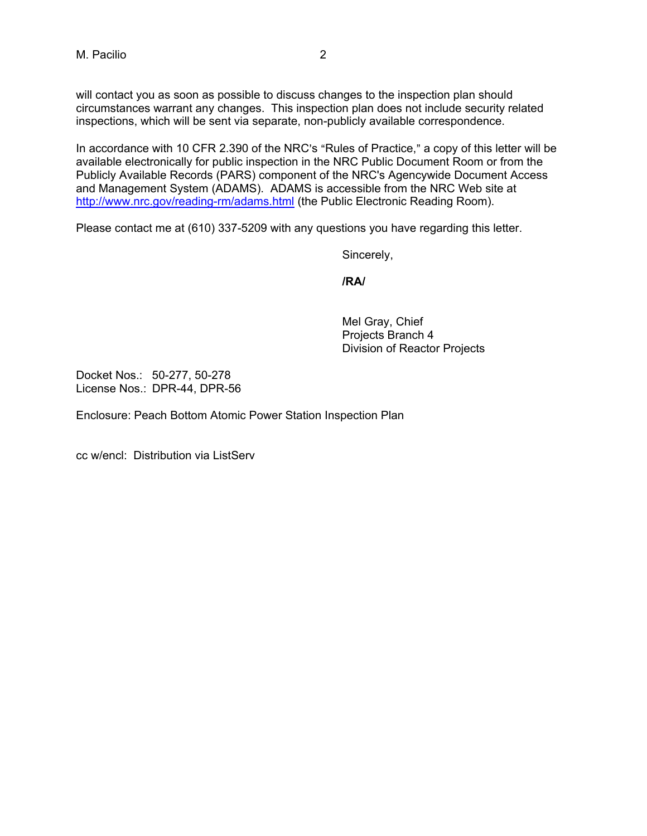will contact you as soon as possible to discuss changes to the inspection plan should circumstances warrant any changes. This inspection plan does not include security related inspections, which will be sent via separate, non-publicly available correspondence.

In accordance with 10 CFR 2.390 of the NRC's "Rules of Practice," a copy of this letter will be available electronically for public inspection in the NRC Public Document Room or from the Publicly Available Records (PARS) component of the NRC's Agencywide Document Access and Management System (ADAMS). ADAMS is accessible from the NRC Web site at http://www.nrc.gov/reading-rm/adams.html (the Public Electronic Reading Room).

Please contact me at (610) 337-5209 with any questions you have regarding this letter.

Sincerely,

**/RA/** 

Mel Gray, Chief Projects Branch 4 Division of Reactor Projects

Docket Nos.: 50-277, 50-278 License Nos.: DPR-44, DPR-56

Enclosure: Peach Bottom Atomic Power Station Inspection Plan

cc w/encl: Distribution via ListServ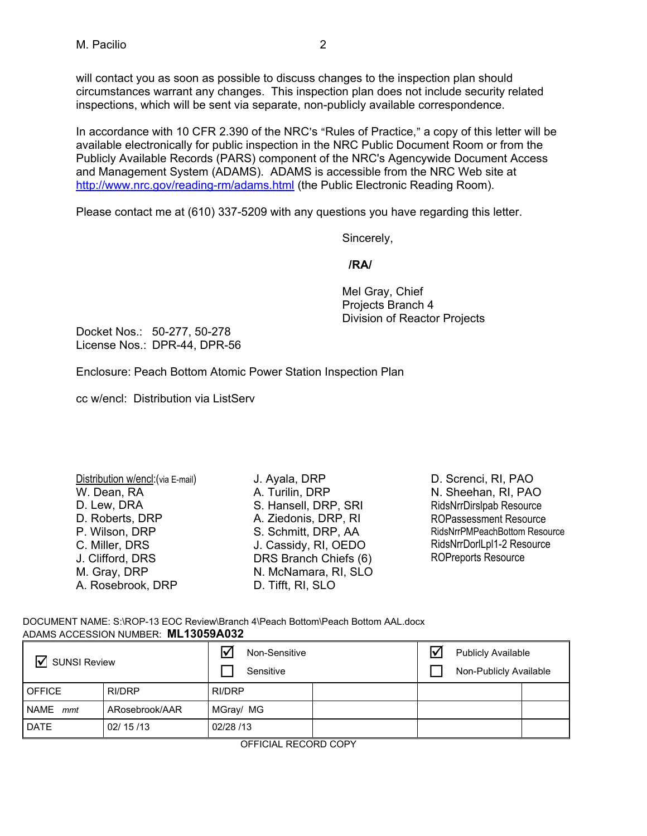will contact you as soon as possible to discuss changes to the inspection plan should circumstances warrant any changes. This inspection plan does not include security related inspections, which will be sent via separate, non-publicly available correspondence.

In accordance with 10 CFR 2.390 of the NRC's "Rules of Practice," a copy of this letter will be available electronically for public inspection in the NRC Public Document Room or from the Publicly Available Records (PARS) component of the NRC's Agencywide Document Access and Management System (ADAMS). ADAMS is accessible from the NRC Web site at http://www.nrc.gov/reading-rm/adams.html (the Public Electronic Reading Room).

Please contact me at (610) 337-5209 with any questions you have regarding this letter.

Sincerely,

### **/RA/**

Mel Gray, Chief Projects Branch 4 Division of Reactor Projects

Docket Nos.: 50-277, 50-278 License Nos.: DPR-44, DPR-56

Enclosure: Peach Bottom Atomic Power Station Inspection Plan

cc w/encl: Distribution via ListServ

| Distribution w/encl: (via E-mail) |     |
|-----------------------------------|-----|
| W. Dean, RA                       | А.  |
| D. Lew, DRA                       | S.  |
| D. Roberts, DRP                   | А.  |
| P. Wilson, DRP                    | S.  |
| C. Miller, DRS                    | J.I |
| J. Clifford, DRS                  | DF  |
| M. Gray, DRP                      | N.  |
| A. Rosebrook, DRP                 | D.  |

Ayala, DRP Turilin, DRP Hansell, DRP, SRI Ziedonis, DRP, RI Schmitt, DRP, AA Cassidy, RI, OEDO RS Branch Chiefs (6) N. McNamara, RI, SLO Tifft, RI, SLO

D. Screnci, RI, PAO N. Sheehan, RI, PAO RidsNrrDirslpab Resource ROPassessment Resource RidsNrrPMPeachBottom Resource RidsNrrDorlLpl1-2 Resource ROPreports Resource

DOCUMENT NAME: S:\ROP-13 EOC Review\Branch 4\Peach Bottom\Peach Bottom AAL.docx ADAMS ACCESSION NUMBER: **ML13059A032**

| $\overline{\mathbf{v}}$<br><b>SUNSI Review</b> |                | Non-Sensitive<br>ΙV<br>Sensitive |  | ∇ | <b>Publicly Available</b><br>Non-Publicly Available |  |
|------------------------------------------------|----------------|----------------------------------|--|---|-----------------------------------------------------|--|
| <b>OFFICE</b>                                  | RI/DRP         | RI/DRP                           |  |   |                                                     |  |
| NAME mmt                                       | ARosebrook/AAR | MGray/ MG                        |  |   |                                                     |  |
| <b>DATE</b>                                    | 02/15/13       | 02/28 /13                        |  |   |                                                     |  |

OFFICIAL RECORD COPY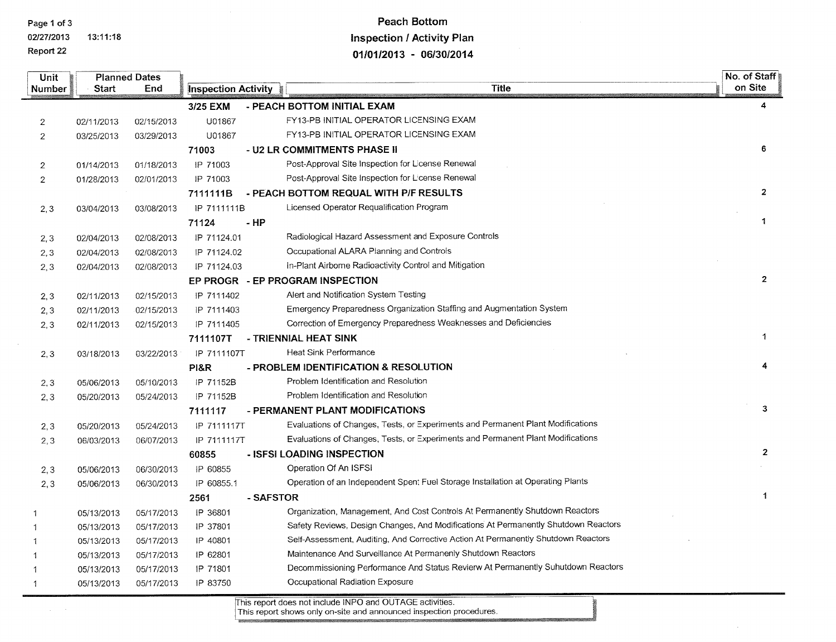Report 22

 $\Delta\phi=0.01$ 

02/27/2013 13:11:18

# **Peach Bottom Inspection / Activity Plan** 01/01/2013 - 06/30/2014

| <b>Unit</b>    | <b>Planned Dates</b> |            |                     |                                                                                    |                      |  |  |  |
|----------------|----------------------|------------|---------------------|------------------------------------------------------------------------------------|----------------------|--|--|--|
| Number         | Start                | End        | Inspection Activity | <b>Title</b>                                                                       | on Site              |  |  |  |
|                |                      |            | 3/25 EXM            | - PEACH BOTTOM INITIAL EXAM                                                        | 4                    |  |  |  |
| $\overline{2}$ | 02/11/2013           | 02/15/2013 | U01867              | FY13-PB INITIAL OPERATOR LICENSING EXAM                                            |                      |  |  |  |
| $\overline{2}$ | 03/25/2013           | 03/29/2013 | U01867              | FY13-PB INITIAL OPERATOR LICENSING EXAM                                            |                      |  |  |  |
|                |                      |            | 71003               | - U2 LR COMMITMENTS PHASE II                                                       | 6                    |  |  |  |
| $\overline{2}$ | 01/14/2013           | 01/18/2013 | IP 71003            | Post-Approval Site Inspection for License Renewal                                  |                      |  |  |  |
| $\overline{2}$ | 01/28/2013           | 02/01/2013 | IP 71003            | Post-Approval Site Inspection for License Renewal                                  |                      |  |  |  |
|                |                      |            | 7111111B            | - PEACH BOTTOM REQUAL WITH P/F RESULTS                                             | $\overline{2}$       |  |  |  |
| 2,3            | 03/04/2013           | 03/08/2013 | IP 7111111B         | Licensed Operator Requalification Program                                          |                      |  |  |  |
|                |                      |            | 71124               | $-HP$                                                                              | 1                    |  |  |  |
| 2,3            | 02/04/2013           | 02/08/2013 | IP 71124.01         | Radiological Hazard Assessment and Exposure Controls                               |                      |  |  |  |
| 2,3            | 02/04/2013           | 02/08/2013 | IP 71124.02         | Occupational ALARA Planning and Controls                                           |                      |  |  |  |
| 2, 3           | 02/04/2013           | 02/08/2013 | IP 71124.03         | In-Plant Airborne Radioactivity Control and Mitigation                             |                      |  |  |  |
|                |                      |            |                     | EP PROGR - EP PROGRAM INSPECTION                                                   | $\overline{2}$       |  |  |  |
| 2,3            | 02/11/2013           | 02/15/2013 | IP 7111402          | Alert and Notification System Testing                                              |                      |  |  |  |
| 2,3            | 02/11/2013           | 02/15/2013 | IP 7111403          | Emergency Preparedness Organization Staffing and Augmentation System               |                      |  |  |  |
| 2, 3           | 02/11/2013           | 02/15/2013 | IP 7111405          | Correction of Emergency Preparedness Weaknesses and Deficiencies                   |                      |  |  |  |
|                |                      |            | 7111107T            | - TRIENNIAL HEAT SINK                                                              | 1                    |  |  |  |
| 2,3            | 03/18/2013           | 03/22/2013 | IP 7111107T         | <b>Heat Sink Performance</b>                                                       |                      |  |  |  |
|                |                      |            | PI&R                | - PROBLEM IDENTIFICATION & RESOLUTION                                              |                      |  |  |  |
| 2,3            | 05/06/2013           | 05/10/2013 | IP 71152B           | Problem Identification and Resolution                                              |                      |  |  |  |
| 2,3            | 05/20/2013           | 05/24/2013 | IP 71152B           | Problem Identification and Resolution                                              |                      |  |  |  |
|                |                      |            | 7111117             | - PERMANENT PLANT MODIFICATIONS                                                    | 3                    |  |  |  |
| 2, 3           | 05/20/2013           | 05/24/2013 | IP 7111117T         | Evaluations of Changes, Tests, or Experiments and Permanent Plant Modifications    |                      |  |  |  |
| 2,3            | 06/03/2013           | 06/07/2013 | IP 7111117T         | Evaluations of Changes, Tests, or Experiments and Permanent Plant Modifications    |                      |  |  |  |
|                |                      |            | 60855               | - ISFSI LOADING INSPECTION                                                         | $\overline{2}$       |  |  |  |
| 2,3            | 05/06/2013           | 06/30/2013 | IP 60855            | Operation Of An ISFSI                                                              |                      |  |  |  |
| 2, 3           | 05/06/2013           | 06/30/2013 | IP 60855.1          | Operation of an Independent Spent Fuel Storage Installation at Operating Plants    |                      |  |  |  |
|                |                      |            | 2561                | - SAFSTOR                                                                          | $\blacktriangleleft$ |  |  |  |
|                | 05/13/2013           | 05/17/2013 | IP 36801            | Organization, Management, And Cost Controls At Permanently Shutdown Reactors       |                      |  |  |  |
|                | 05/13/2013           | 05/17/2013 | IP 37801            | Safety Reviews, Design Changes, And Modifications At Permanently Shutdown Reactors |                      |  |  |  |
|                | 05/13/2013           | 05/17/2013 | IP 40801            | Self-Assessment, Auditing, And Corrective Action At Permanently Shutdown Reactors  |                      |  |  |  |
|                | 05/13/2013           | 05/17/2013 | IP 62801            | Maintenance And Surveillance At Permanenly Shutdown Reactors                       |                      |  |  |  |
|                | 05/13/2013           | 05/17/2013 | IP 71801            | Decommissioning Performance And Status Revierw At Permanently Suhutdown Reactors   |                      |  |  |  |
| 1              | 05/13/2013           | 05/17/2013 | IP 83750            | Occupational Radiation Exposure                                                    |                      |  |  |  |

This report does not include INPO and OUTAGE activities.<br>This report shows only on-site and announced inspection procedures.

 $\sim$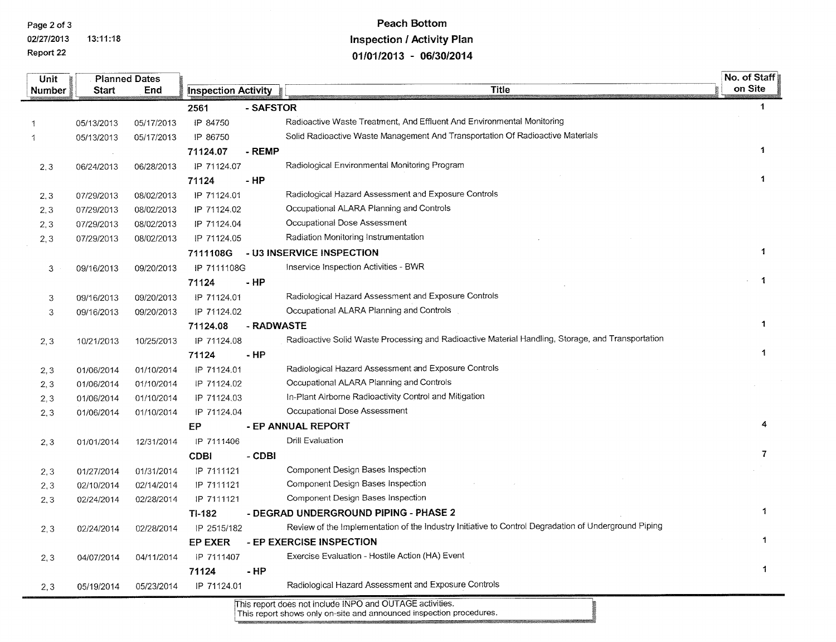Page 2 of 3 02/27/2013

13:11:18

Report 22

## **Peach Bottom Inspection / Activity Plan** 01/01/2013 - 06/30/2014

| Unit          |            | <b>Planned Dates</b> |                            |            |                                                                                                      | No. of Staff |
|---------------|------------|----------------------|----------------------------|------------|------------------------------------------------------------------------------------------------------|--------------|
| <b>Number</b> | Start      | End                  | <b>Inspection Activity</b> |            | <b>Title</b>                                                                                         | on Site      |
|               |            |                      | 2561                       | - SAFSTOR  |                                                                                                      | -1           |
|               | 05/13/2013 | 05/17/2013           | IP 84750                   |            | Radioactive Waste Treatment, And Effluent And Environmental Monitoring                               |              |
| 1             | 05/13/2013 | 05/17/2013           | IP 86750                   |            | Solid Radioactive Waste Management And Transportation Of Radioactive Materials                       |              |
|               |            |                      | 71124.07                   | - REMP     |                                                                                                      | 1            |
| 2, 3          | 06/24/2013 | 06/28/2013           | IP 71124.07                |            | Radiological Environmental Monitoring Program                                                        |              |
|               |            |                      | 71124                      | - HP       |                                                                                                      | 1            |
| 2, 3          | 07/29/2013 | 08/02/2013           | IP 71124.01                |            | Radiological Hazard Assessment and Exposure Controls                                                 |              |
| 2, 3          | 07/29/2013 | 08/02/2013           | IP 71124.02                |            | Occupational ALARA Planning and Controls                                                             |              |
| 2,3           | 07/29/2013 | 08/02/2013           | IP 71124.04                |            | Occupational Dose Assessment                                                                         |              |
| 2,3           | 07/29/2013 | 08/02/2013           | IP 71124.05                |            | Radiation Monitoring Instrumentation                                                                 |              |
|               |            |                      | 7111108G                   |            | - U3 INSERVICE INSPECTION                                                                            | 1            |
| 3             | 09/16/2013 | 09/20/2013           | IP 7111108G                |            | Inservice Inspection Activities - BWR                                                                |              |
|               |            |                      | 71124                      | - HP       |                                                                                                      | 1            |
| 3             | 09/16/2013 | 09/20/2013           | IP 71124.01                |            | Radiological Hazard Assessment and Exposure Controls                                                 |              |
| 3             | 09/16/2013 | 09/20/2013           | IP 71124.02                |            | Occupational ALARA Planning and Controls                                                             |              |
|               |            |                      | 71124.08                   | - RADWASTE |                                                                                                      |              |
| 2,3           | 10/21/2013 | 10/25/2013           | IP 71124.08                |            | Radioactive Solid Waste Processing and Radioactive Material Handling, Storage, and Transportation    |              |
|               |            |                      | 71124                      | - HP       |                                                                                                      | 1            |
| 2, 3          | 01/06/2014 | 01/10/2014           | IP 71124.01                |            | Radiological Hazard Assessment and Exposure Controls                                                 |              |
| 2, 3          | 01/06/2014 | 01/10/2014           | IP 71124.02                |            | Occupational ALARA Planning and Controls                                                             |              |
| 2,3           | 01/06/2014 | 01/10/2014           | IP 71124.03                |            | In-Plant Airborne Radioactivity Control and Mitigation                                               |              |
| 2, 3          | 01/06/2014 | 01/10/2014           | IP 71124.04                |            | Occupational Dose Assessment                                                                         |              |
|               |            |                      | ЕP                         |            | - EP ANNUAL REPORT                                                                                   |              |
| 2, 3          | 01/01/2014 | 12/31/2014           | IP 7111406                 |            | Drill Evaluation                                                                                     |              |
|               |            |                      | <b>CDBI</b>                | - CDBI     |                                                                                                      | 7            |
| 2,3           | 01/27/2014 | 01/31/2014           | IP 7111121                 |            | Component Design Bases Inspection                                                                    |              |
| 2, 3          | 02/10/2014 | 02/14/2014           | IP 7111121                 |            | Component Design Bases Inspection                                                                    |              |
| 2, 3          | 02/24/2014 | 02/28/2014           | IP 7111121                 |            | Component Design Bases Inspection                                                                    |              |
|               |            |                      | TI-182                     |            | - DEGRAD UNDERGROUND PIPING - PHASE 2                                                                |              |
| 2, 3          | 02/24/2014 | 02/28/2014           | IP 2515/182                |            | Review of the Implementation of the Industry Initiative to Control Degradation of Underground Piping |              |
|               |            |                      | <b>EP EXER</b>             |            | - EP EXERCISE INSPECTION                                                                             |              |
| 2,3           | 04/07/2014 | 04/11/2014           | IP 7111407                 |            | Exercise Evaluation - Hostile Action (HA) Event                                                      |              |
|               |            |                      | 71124                      | - HP       |                                                                                                      | $\mathbf{1}$ |
| 2, 3          | 05/19/2014 | 05/23/2014           | IP 71124.01                |            | Radiological Hazard Assessment and Exposure Controls                                                 |              |
|               |            |                      |                            |            | This report does not include INPO and OUTAGE activities.                                             |              |

This report shows only on-site and announced inspection procedures.